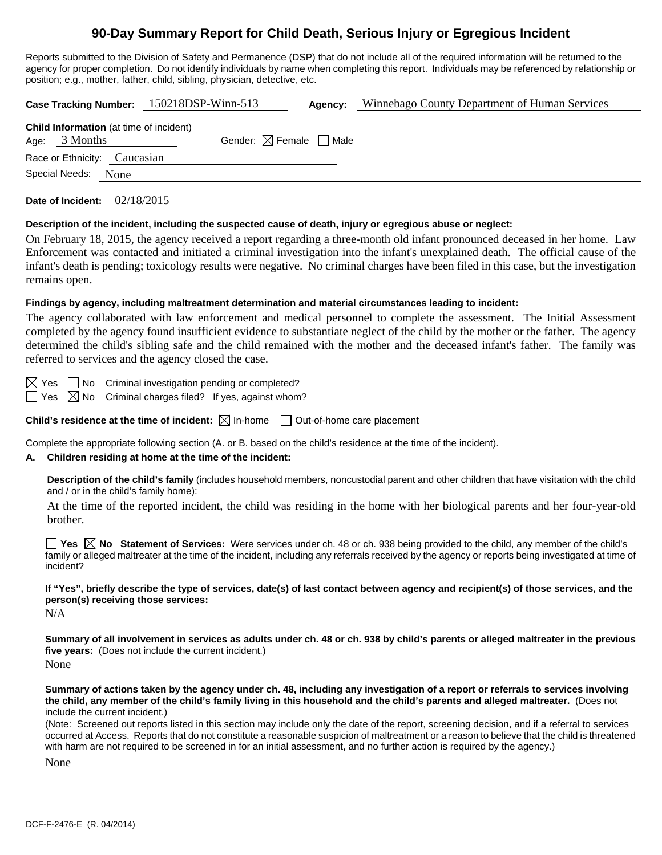# **90-Day Summary Report for Child Death, Serious Injury or Egregious Incident**

Reports submitted to the Division of Safety and Permanence (DSP) that do not include all of the required information will be returned to the agency for proper completion. Do not identify individuals by name when completing this report. Individuals may be referenced by relationship or position; e.g., mother, father, child, sibling, physician, detective, etc.

| Case Tracking Number: 150218DSP-Winn-513                          |                              |  | Agency:                                |  | Winnebago County Department of Human Services |  |  |
|-------------------------------------------------------------------|------------------------------|--|----------------------------------------|--|-----------------------------------------------|--|--|
| <b>Child Information</b> (at time of incident)<br>Age: $3$ Months |                              |  | Gender: $\boxtimes$ Female $\Box$ Male |  |                                               |  |  |
|                                                                   | Race or Ethnicity: Caucasian |  |                                        |  |                                               |  |  |
| Special Needs:<br>None                                            |                              |  |                                        |  |                                               |  |  |
|                                                                   |                              |  |                                        |  |                                               |  |  |

**Date of Incident:** 02/18/2015

#### **Description of the incident, including the suspected cause of death, injury or egregious abuse or neglect:**

On February 18, 2015, the agency received a report regarding a three-month old infant pronounced deceased in her home. Law Enforcement was contacted and initiated a criminal investigation into the infant's unexplained death. The official cause of the infant's death is pending; toxicology results were negative. No criminal charges have been filed in this case, but the investigation remains open.

#### **Findings by agency, including maltreatment determination and material circumstances leading to incident:**

The agency collaborated with law enforcement and medical personnel to complete the assessment. The Initial Assessment completed by the agency found insufficient evidence to substantiate neglect of the child by the mother or the father. The agency determined the child's sibling safe and the child remained with the mother and the deceased infant's father. The family was referred to services and the agency closed the case.

 $\boxtimes$  Yes  $\Box$  No Criminal investigation pending or completed?

 $\Box$  Yes  $\boxtimes$  No Criminal charges filed? If yes, against whom?

**Child's residence at the time of incident:**  $\boxtimes$  In-home  $\Box$  Out-of-home care placement

Complete the appropriate following section (A. or B. based on the child's residence at the time of the incident).

## **A. Children residing at home at the time of the incident:**

**Description of the child's family** (includes household members, noncustodial parent and other children that have visitation with the child and / or in the child's family home):

 At the time of the reported incident, the child was residing in the home with her biological parents and her four-year-old brother.

**Yes**  $\boxtimes$  **No** Statement of Services: Were services under ch. 48 or ch. 938 being provided to the child, any member of the child's family or alleged maltreater at the time of the incident, including any referrals received by the agency or reports being investigated at time of incident?

**If "Yes", briefly describe the type of services, date(s) of last contact between agency and recipient(s) of those services, and the person(s) receiving those services:** 

N/A

**Summary of all involvement in services as adults under ch. 48 or ch. 938 by child's parents or alleged maltreater in the previous five years:** (Does not include the current incident.) None

**Summary of actions taken by the agency under ch. 48, including any investigation of a report or referrals to services involving the child, any member of the child's family living in this household and the child's parents and alleged maltreater.** (Does not include the current incident.)

(Note: Screened out reports listed in this section may include only the date of the report, screening decision, and if a referral to services occurred at Access. Reports that do not constitute a reasonable suspicion of maltreatment or a reason to believe that the child is threatened with harm are not required to be screened in for an initial assessment, and no further action is required by the agency.)

None